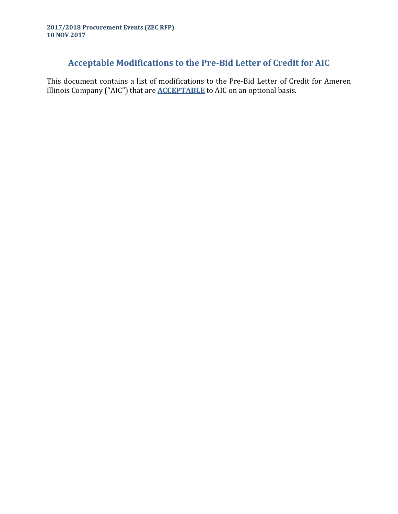# **Acceptable Modifications to the Pre-Bid Letter of Credit for AIC**

This document contains a list of modifications to the Pre-Bid Letter of Credit for Ameren Illinois Company ("AIC") that are **ACCEPTABLE** to AIC on an optional basis.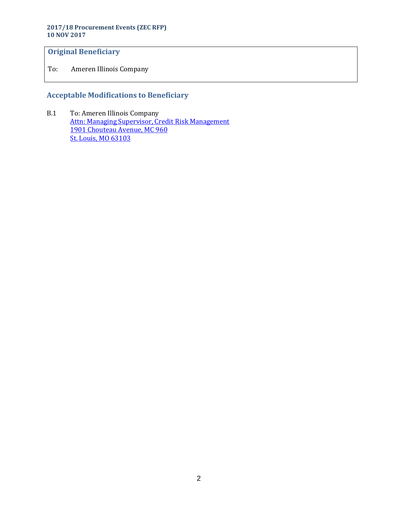#### **2017/18 Procurement Events (ZEC RFP) 10 NOV 2017**

# **Original Beneficiary**

To: Ameren Illinois Company

# **Acceptable Modifications to Beneficiary**

B.1 To: Ameren Illinois Company Attn: Managing Supervisor, Credit Risk Management 1901 Chouteau Avenue, MC 960 St. Louis, MO 63103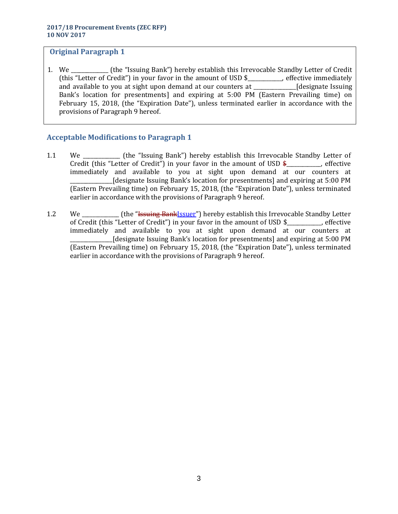1. We \_\_\_\_\_\_\_\_\_\_\_\_\_\_ (the "Issuing Bank") hereby establish this Irrevocable Standby Letter of Credit (this "Letter of Credit") in your favor in the amount of USD \$\_\_\_\_\_\_\_\_\_\_\_\_\_, effective immediately and available to you at sight upon demand at our counters at \_\_\_\_\_\_\_\_\_\_\_\_\_\_\_\_[designate Issuing Bank's location for presentments] and expiring at 5:00 PM (Eastern Prevailing time) on February 15, 2018, (the "Expiration Date"), unless terminated earlier in accordance with the provisions of Paragraph 9 hereof.

- 1.1 We \_\_\_\_\_\_\_\_\_\_\_\_\_\_ (the "Issuing Bank") hereby establish this Irrevocable Standby Letter of Credit (this "Letter of Credit") in your favor in the amount of USD  $\frac{2}{3}$  effective immediately and available to you at sight upon demand at our counters at \_\_\_\_\_\_\_\_\_\_\_\_\_\_\_\_[designate Issuing Bank's location for presentments] and expiring at 5:00 PM (Eastern Prevailing time) on February 15, 2018, (the "Expiration Date"), unless terminated earlier in accordance with the provisions of Paragraph 9 hereof.
- 1.2 We **Example 1.2** We **Conserver (the "Issuing Bank**Issuer") hereby establish this Irrevocable Standby Letter of Credit (this "Letter of Credit") in your favor in the amount of USD \$\_\_\_\_\_\_\_\_\_\_\_\_\_, effective immediately and available to you at sight upon demand at our counters at \_\_\_\_\_\_\_\_\_\_\_\_\_\_\_\_[designate Issuing Bank's location for presentments] and expiring at 5:00 PM (Eastern Prevailing time) on February 15, 2018, (the "Expiration Date"), unless terminated earlier in accordance with the provisions of Paragraph 9 hereof.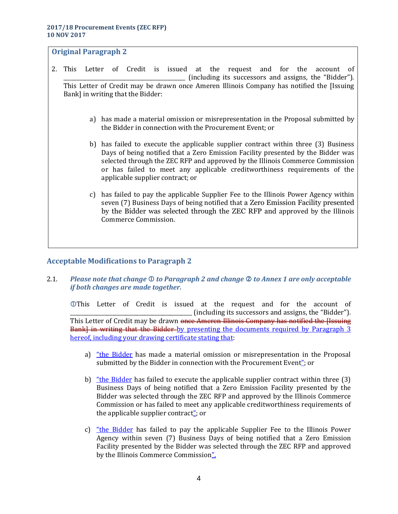- 2. This Letter of Credit is issued at the request and for the account of \_\_\_\_\_\_\_\_\_\_\_\_\_\_\_\_\_\_\_\_\_\_\_\_\_\_\_\_\_\_\_\_\_\_\_\_\_\_\_\_\_\_\_\_\_\_ (including its successors and assigns, the "Bidder"). This Letter of Credit may be drawn once Ameren Illinois Company has notified the [Issuing Bank] in writing that the Bidder:
	- a) has made a material omission or misrepresentation in the Proposal submitted by the Bidder in connection with the Procurement Event; or
	- b) has failed to execute the applicable supplier contract within three (3) Business Days of being notified that a Zero Emission Facility presented by the Bidder was selected through the ZEC RFP and approved by the Illinois Commerce Commission or has failed to meet any applicable creditworthiness requirements of the applicable supplier contract; or
	- c) has failed to pay the applicable Supplier Fee to the Illinois Power Agency within seven (7) Business Days of being notified that a Zero Emission Facility presented by the Bidder was selected through the ZEC RFP and approved by the Illinois Commerce Commission.

# **Acceptable Modifications to Paragraph 2**

2.1. *Please note that change to Paragraph 2 and change to Annex 1 are only acceptable if both changes are made together.*

This Letter of Credit is issued at the request and for the account of \_\_\_\_\_\_\_\_\_\_\_\_\_\_\_\_\_\_\_\_\_\_\_\_\_\_\_\_\_\_\_\_\_\_\_\_\_\_\_\_\_\_\_\_\_\_ (including its successors and assigns, the "Bidder"). This Letter of Credit may be drawn once Ameren Illinois Company has notified the Hssuing Bank] in writing that the Bidder-by presenting the documents required by Paragraph 3 hereof, including your drawing certificate stating that:

- a) "the Bidder has made a material omission or misrepresentation in the Proposal submitted by the Bidder in connection with the Procurement Event"; or
- b) "the Bidder has failed to execute the applicable supplier contract within three  $(3)$ Business Days of being notified that a Zero Emission Facility presented by the Bidder was selected through the ZEC RFP and approved by the Illinois Commerce Commission or has failed to meet any applicable creditworthiness requirements of the applicable supplier contract"; or
- c) "the Bidder has failed to pay the applicable Supplier Fee to the Illinois Power Agency within seven (7) Business Days of being notified that a Zero Emission Facility presented by the Bidder was selected through the ZEC RFP and approved by the Illinois Commerce Commission".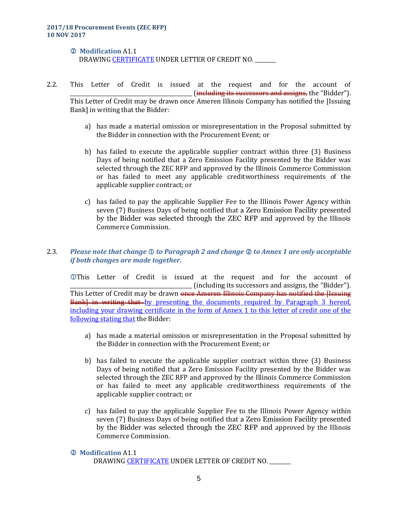#### **Modification** A1.1 DRAWING CERTIFICATE UNDER LETTER OF CREDIT NO. \_\_\_\_\_\_\_\_

- 2.2. This Letter of Credit is issued at the request and for the account of \_ (<del>including its successors and assigns,</del> the "Bidder"). This Letter of Credit may be drawn once Ameren Illinois Company has notified the [Issuing Bank] in writing that the Bidder:
	- a) has made a material omission or misrepresentation in the Proposal submitted by the Bidder in connection with the Procurement Event; or
	- b) has failed to execute the applicable supplier contract within three (3) Business Days of being notified that a Zero Emission Facility presented by the Bidder was selected through the ZEC RFP and approved by the Illinois Commerce Commission or has failed to meet any applicable creditworthiness requirements of the applicable supplier contract; or
	- c) has failed to pay the applicable Supplier Fee to the Illinois Power Agency within seven (7) Business Days of being notified that a Zero Emission Facility presented by the Bidder was selected through the ZEC RFP and approved by the Illinois Commerce Commission.

# 2.3. Please note that change  $\mathbb D$  to Paragraph 2 and change  $\mathbb Q$  to Annex 1 are only acceptable *if both changes are made together.*

This Letter of Credit is issued at the request and for the account of \_\_\_\_\_\_\_\_\_\_\_\_\_\_\_\_\_\_\_\_\_\_\_\_\_\_\_\_\_\_\_\_\_\_\_\_\_\_\_\_\_\_\_\_\_\_ (including its successors and assigns, the "Bidder"). This Letter of Credit may be drawn <del>once Ameren Illinois Company has notified the Hssuing</del> Bank] in writing that by presenting the documents required by Paragraph 3 hereof, including your drawing certificate in the form of Annex 1 to this letter of credit one of the following stating that the Bidder:

- a) has made a material omission or misrepresentation in the Proposal submitted by the Bidder in connection with the Procurement Event; or
- b) has failed to execute the applicable supplier contract within three (3) Business Days of being notified that a Zero Emission Facility presented by the Bidder was selected through the ZEC RFP and approved by the Illinois Commerce Commission or has failed to meet any applicable creditworthiness requirements of the applicable supplier contract; or
- c) has failed to pay the applicable Supplier Fee to the Illinois Power Agency within seven (7) Business Days of being notified that a Zero Emission Facility presented by the Bidder was selected through the ZEC RFP and approved by the Illinois Commerce Commission.

#### **Modification** A1.1

DRAWING CERTIFICATE UNDER LETTER OF CREDIT NO.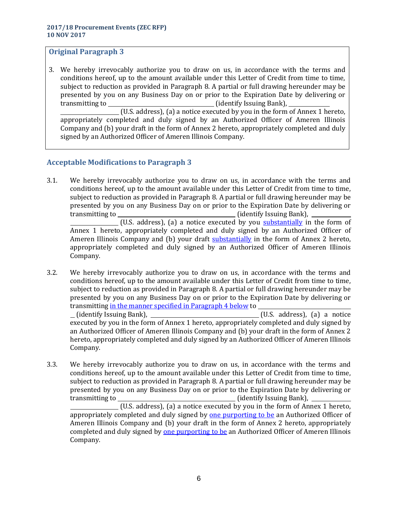3. We hereby irrevocably authorize you to draw on us, in accordance with the terms and conditions hereof, up to the amount available under this Letter of Credit from time to time, subject to reduction as provided in Paragraph 8. A partial or full drawing hereunder may be presented by you on any Business Day on or prior to the Expiration Date by delivering or transmitting to (identify Issuing Bank),

(U.S. address), (a) a notice executed by you in the form of Annex 1 hereto, appropriately completed and duly signed by an Authorized Officer of Ameren Illinois Company and (b) your draft in the form of Annex 2 hereto, appropriately completed and duly signed by an Authorized Officer of Ameren Illinois Company.

# **Acceptable Modifications to Paragraph 3**

3.1. We hereby irrevocably authorize you to draw on us, in accordance with the terms and conditions hereof, up to the amount available under this Letter of Credit from time to time, subject to reduction as provided in Paragraph 8. A partial or full drawing hereunder may be presented by you on any Business Day on or prior to the Expiration Date by delivering or transmitting to (identify Issuing Bank),

(U.S. address), (a) a notice executed by you  $\frac{\text{substantially}}{\text{in}}$  in the form of Annex 1 hereto, appropriately completed and duly signed by an Authorized Officer of Ameren Illinois Company and (b) your draft **substantially** in the form of Annex 2 hereto, appropriately completed and duly signed by an Authorized Officer of Ameren Illinois Company.

- 3.2. We hereby irrevocably authorize you to draw on us, in accordance with the terms and conditions hereof, up to the amount available under this Letter of Credit from time to time, subject to reduction as provided in Paragraph 8. A partial or full drawing hereunder may be presented by you on any Business Day on or prior to the Expiration Date by delivering or transmitting in the manner specified in Paragraph 4 below to (identify Issuing Bank), (U.S. address), (a) a notice executed by you in the form of Annex 1 hereto, appropriately completed and duly signed by an Authorized Officer of Ameren Illinois Company and (b) your draft in the form of Annex 2 hereto, appropriately completed and duly signed by an Authorized Officer of Ameren Illinois Company.
- 3.3. We hereby irrevocably authorize you to draw on us, in accordance with the terms and conditions hereof, up to the amount available under this Letter of Credit from time to time, subject to reduction as provided in Paragraph 8. A partial or full drawing hereunder may be presented by you on any Business Day on or prior to the Expiration Date by delivering or transmitting to (identify Issuing Bank), (U.S. address), (a) a notice executed by you in the form of Annex 1 hereto, appropriately completed and duly signed by one purporting to be an Authorized Officer of

Ameren Illinois Company and (b) your draft in the form of Annex 2 hereto, appropriately completed and duly signed by one purporting to be an Authorized Officer of Ameren Illinois Company.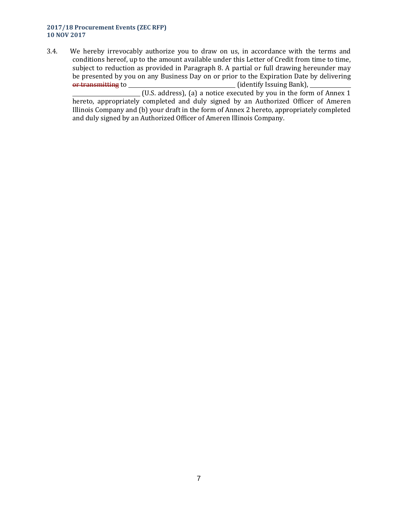#### **2017/18 Procurement Events (ZEC RFP) 10 NOV 2017**

3.4. We hereby irrevocably authorize you to draw on us, in accordance with the terms and conditions hereof, up to the amount available under this Letter of Credit from time to time, subject to reduction as provided in Paragraph 8. A partial or full drawing hereunder may be presented by you on any Business Day on or prior to the Expiration Date by delivering or transmitting to  $\qquad \qquad$  (identify Issuing Bank),

 $(U.S.$  address), (a) a notice executed by you in the form of Annex 1 hereto, appropriately completed and duly signed by an Authorized Officer of Ameren Illinois Company and (b) your draft in the form of Annex 2 hereto, appropriately completed and duly signed by an Authorized Officer of Ameren Illinois Company.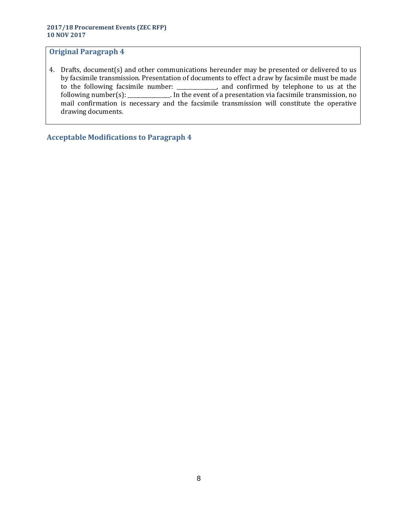4. Drafts, document(s) and other communications hereunder may be presented or delivered to us by facsimile transmission. Presentation of documents to effect a draw by facsimile must be made to the following facsimile number: \_\_\_\_\_\_\_\_\_\_\_\_\_\_\_, and confirmed by telephone to us at the following number(s): \_\_\_\_\_\_\_\_\_\_\_\_\_\_\_\_. In the event of a presentation via facsimile transmission, no mail confirmation is necessary and the facsimile transmission will constitute the operative drawing documents.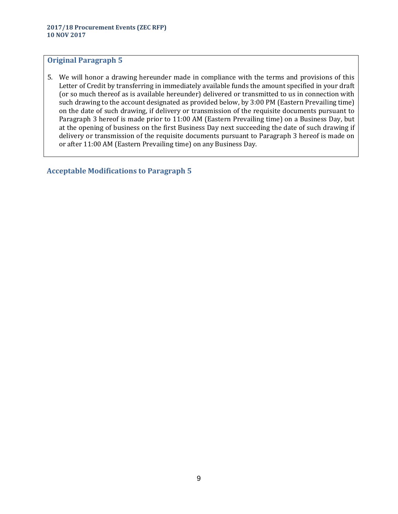5. We will honor a drawing hereunder made in compliance with the terms and provisions of this Letter of Credit by transferring in immediately available funds the amount specified in your draft (or so much thereof as is available hereunder) delivered or transmitted to us in connection with such drawing to the account designated as provided below, by 3:00 PM (Eastern Prevailing time) on the date of such drawing, if delivery or transmission of the requisite documents pursuant to Paragraph 3 hereof is made prior to 11:00 AM (Eastern Prevailing time) on a Business Day, but at the opening of business on the first Business Day next succeeding the date of such drawing if delivery or transmission of the requisite documents pursuant to Paragraph 3 hereof is made on or after 11:00 AM (Eastern Prevailing time) on any Business Day.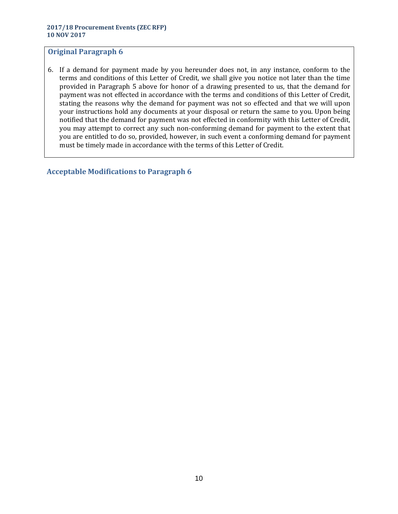6. If a demand for payment made by you hereunder does not, in any instance, conform to the terms and conditions of this Letter of Credit, we shall give you notice not later than the time provided in Paragraph 5 above for honor of a drawing presented to us, that the demand for payment was not effected in accordance with the terms and conditions of this Letter of Credit, stating the reasons why the demand for payment was not so effected and that we will upon your instructions hold any documents at your disposal or return the same to you. Upon being notified that the demand for payment was not effected in conformity with this Letter of Credit, you may attempt to correct any such non-conforming demand for payment to the extent that you are entitled to do so, provided, however, in such event a conforming demand for payment must be timely made in accordance with the terms of this Letter of Credit.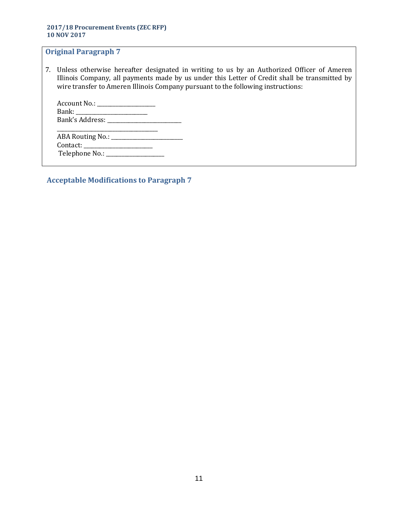7. Unless otherwise hereafter designated in writing to us by an Authorized Officer of Ameren Illinois Company, all payments made by us under this Letter of Credit shall be transmitted by wire transfer to Ameren Illinois Company pursuant to the following instructions:

| Account No.: ________     |
|---------------------------|
|                           |
| Bank's Address: _________ |
|                           |
|                           |

| <b>ABA Routing No.:</b> |  |
|-------------------------|--|
| Contact: __             |  |
| Telephone No.:          |  |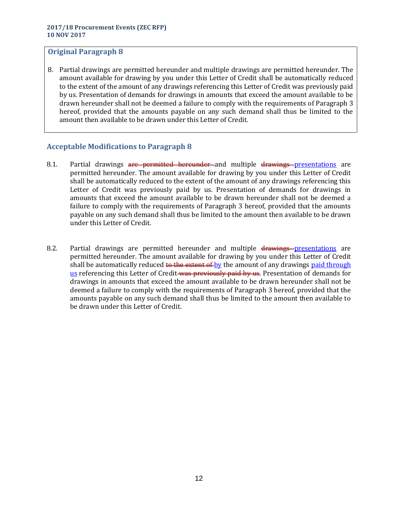8. Partial drawings are permitted hereunder and multiple drawings are permitted hereunder. The amount available for drawing by you under this Letter of Credit shall be automatically reduced to the extent of the amount of any drawings referencing this Letter of Credit was previously paid by us. Presentation of demands for drawings in amounts that exceed the amount available to be drawn hereunder shall not be deemed a failure to comply with the requirements of Paragraph 3 hereof, provided that the amounts payable on any such demand shall thus be limited to the amount then available to be drawn under this Letter of Credit.

- 8.1. Partial drawings are permitted hereunder and multiple drawings presentations are permitted hereunder. The amount available for drawing by you under this Letter of Credit shall be automatically reduced to the extent of the amount of any drawings referencing this Letter of Credit was previously paid by us. Presentation of demands for drawings in amounts that exceed the amount available to be drawn hereunder shall not be deemed a failure to comply with the requirements of Paragraph 3 hereof, provided that the amounts payable on any such demand shall thus be limited to the amount then available to be drawn under this Letter of Credit.
- 8.2. Partial drawings are permitted hereunder and multiple drawings-presentations are permitted hereunder. The amount available for drawing by you under this Letter of Credit shall be automatically reduced to the extent of by the amount of any drawings paid through us referencing this Letter of Credit was previously paid by us. Presentation of demands for drawings in amounts that exceed the amount available to be drawn hereunder shall not be deemed a failure to comply with the requirements of Paragraph 3 hereof, provided that the amounts payable on any such demand shall thus be limited to the amount then available to be drawn under this Letter of Credit.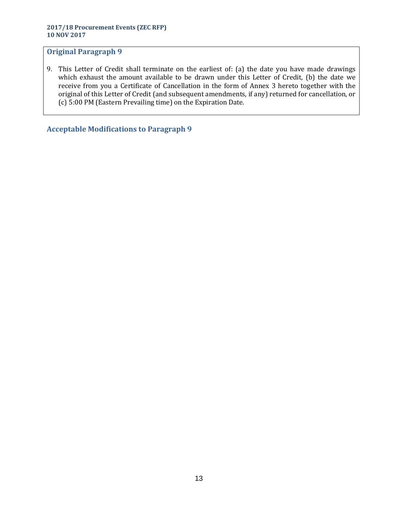9. This Letter of Credit shall terminate on the earliest of: (a) the date you have made drawings which exhaust the amount available to be drawn under this Letter of Credit, (b) the date we receive from you a Certificate of Cancellation in the form of Annex 3 hereto together with the original of this Letter of Credit (and subsequent amendments, if any) returned for cancellation, or (c) 5:00 PM (Eastern Prevailing time) on the Expiration Date.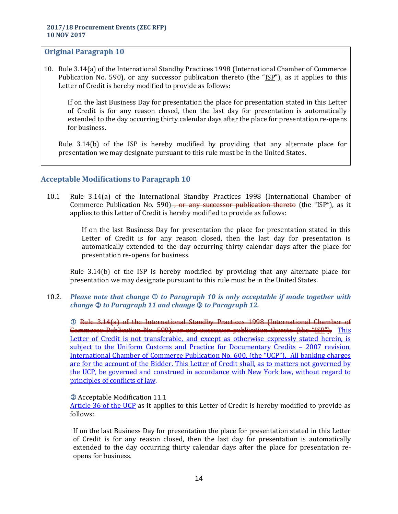10. Rule 3.14(a) of the International Standby Practices 1998 (International Chamber of Commerce Publication No. 590), or any successor publication thereto (the " $[SP"$ ), as it applies to this Letter of Credit is hereby modified to provide as follows:

If on the last Business Day for presentation the place for presentation stated in this Letter of Credit is for any reason closed, then the last day for presentation is automatically extended to the day occurring thirty calendar days after the place for presentation re-opens for business.

Rule 3.14(b) of the ISP is hereby modified by providing that any alternate place for presentation we may designate pursuant to this rule must be in the United States.

# **Acceptable Modifications to Paragraph 10**

10.1 Rule 3.14(a) of the International Standby Practices 1998 (International Chamber of Commerce Publication No. 590)<del>, or any successor publication thereto</del> (the "ISP"), as it applies to this Letter of Credit is hereby modified to provide as follows:

> If on the last Business Day for presentation the place for presentation stated in this Letter of Credit is for any reason closed, then the last day for presentation is automatically extended to the day occurring thirty calendar days after the place for presentation re-opens for business.

Rule 3.14(b) of the ISP is hereby modified by providing that any alternate place for presentation we may designate pursuant to this rule must be in the United States.

10.2. *Please note that change to Paragraph 10 is only acceptable if made together with change to Paragraph 11 and change to Paragraph 12.*

 Rule 3.14(a) of the International Standby Practices 1998 (International Chamber of Commerce Publication No. 590), or any successor publication thereto (the "ISP"), This Letter of Credit is not transferable, and except as otherwise expressly stated herein, is subject to the Uniform Customs and Practice for Documentary Credits – 2007 revision, International Chamber of Commerce Publication No. 600, (the "UCP"). All banking charges are for the account of the Bidder. This Letter of Credit shall, as to matters not governed by the UCP, be governed and construed in accordance with New York law, without regard to principles of conflicts of law.

#### Acceptable Modification 11.1

Article 36 of the UCP as it applies to this Letter of Credit is hereby modified to provide as follows:

If on the last Business Day for presentation the place for presentation stated in this Letter of Credit is for any reason closed, then the last day for presentation is automatically extended to the day occurring thirty calendar days after the place for presentation reopens for business.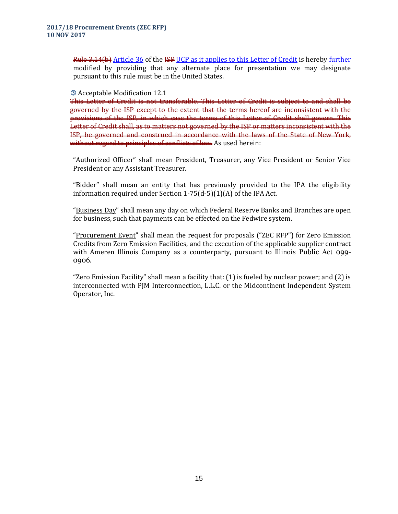Rule 3.14(b) Article 36 of the ISP UCP as it applies to this Letter of Credit is hereby further modified by providing that any alternate place for presentation we may designate pursuant to this rule must be in the United States.

#### Acceptable Modification 12.1

This Letter of Credit is not transferable. This Letter of Credit is subject to and shall be governed by the ISP except to the extent that the terms hereof are inconsistent with the provisions of the ISP, in which case the terms of this Letter of Credit shall govern. This Letter of Credit shall, as to matters not governed by the ISP or matters inconsistent with the ISP, be governed and construed in accordance with the laws of the State of New York, without regard to principles of conflicts of law. As used herein:

"Authorized Officer" shall mean President, Treasurer, any Vice President or Senior Vice President or any Assistant Treasurer.

"Bidder" shall mean an entity that has previously provided to the IPA the eligibility information required under Section 1-75(d-5)(1)(A) of the IPA Act.

"Business Day" shall mean any day on which Federal Reserve Banks and Branches are open for business, such that payments can be effected on the Fedwire system.

"Procurement Event" shall mean the request for proposals ("ZEC RFP") for Zero Emission Credits from Zero Emission Facilities, and the execution of the applicable supplier contract with Ameren Illinois Company as a counterparty, pursuant to Illinois Public Act 099- 0906.

"Zero Emission Facility" shall mean a facility that: (1) is fueled by nuclear power; and (2) is interconnected with PJM Interconnection, L.L.C. or the Midcontinent Independent System Operator, Inc.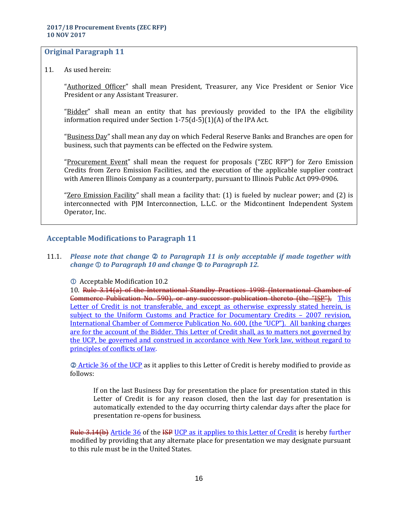11. As used herein:

"Authorized Officer" shall mean President, Treasurer, any Vice President or Senior Vice President or any Assistant Treasurer.

"Bidder" shall mean an entity that has previously provided to the IPA the eligibility information required under Section 1-75(d-5)(1)(A) of the IPA Act.

"Business Day" shall mean any day on which Federal Reserve Banks and Branches are open for business, such that payments can be effected on the Fedwire system.

"Procurement Event" shall mean the request for proposals ("ZEC RFP") for Zero Emission Credits from Zero Emission Facilities, and the execution of the applicable supplier contract with Ameren Illinois Company as a counterparty, pursuant to Illinois Public Act 099-0906.

"Zero Emission Facility" shall mean a facility that: (1) is fueled by nuclear power; and (2) is interconnected with PJM Interconnection, L.L.C. or the Midcontinent Independent System Operator, Inc.

# **Acceptable Modifications to Paragraph 11**

11.1. *Please note that change to Paragraph 11 is only acceptable if made together with change to Paragraph 10 and change to Paragraph 12.* 

Acceptable Modification 10.2

10. Rule 3.14(a) of the International Standby Practices 1998 (International Chamber of Commerce Publication No. 590), or any successor publication thereto (the "ISP"), This Letter of Credit is not transferable, and except as otherwise expressly stated herein, is subject to the Uniform Customs and Practice for Documentary Credits – 2007 revision, International Chamber of Commerce Publication No. 600, (the "UCP"). All banking charges are for the account of the Bidder. This Letter of Credit shall, as to matters not governed by the UCP, be governed and construed in accordance with New York law, without regard to principles of conflicts of law.

 Article 36 of the UCP as it applies to this Letter of Credit is hereby modified to provide as follows:

If on the last Business Day for presentation the place for presentation stated in this Letter of Credit is for any reason closed, then the last day for presentation is automatically extended to the day occurring thirty calendar days after the place for presentation re-opens for business.

Rule 3.14(b) Article 36 of the ISP UCP as it applies to this Letter of Credit is hereby further modified by providing that any alternate place for presentation we may designate pursuant to this rule must be in the United States.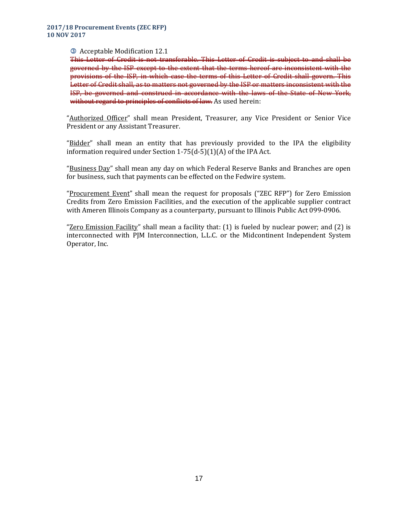#### Acceptable Modification 12.1

This Letter of Credit is not transferable. This Letter of Credit is subject to and shall be governed by the ISP except to the extent that the terms hereof are inconsistent with the provisions of the ISP, in which case the terms of this Letter of Credit shall govern. This Letter of Credit shall, as to matters not governed by the ISP or matters inconsistent with the ISP, be governed and construed in accordance with the laws of the State of New York, without regard to principles of conflicts of law. As used herein:

"Authorized Officer" shall mean President, Treasurer, any Vice President or Senior Vice President or any Assistant Treasurer.

"Bidder" shall mean an entity that has previously provided to the IPA the eligibility information required under Section 1-75(d-5)(1)(A) of the IPA Act.

"Business Day" shall mean any day on which Federal Reserve Banks and Branches are open for business, such that payments can be effected on the Fedwire system.

"Procurement Event" shall mean the request for proposals ("ZEC RFP") for Zero Emission Credits from Zero Emission Facilities, and the execution of the applicable supplier contract with Ameren Illinois Company as a counterparty, pursuant to Illinois Public Act 099-0906.

"Zero Emission Facility" shall mean a facility that: (1) is fueled by nuclear power; and (2) is interconnected with PJM Interconnection, L.L.C. or the Midcontinent Independent System Operator, Inc.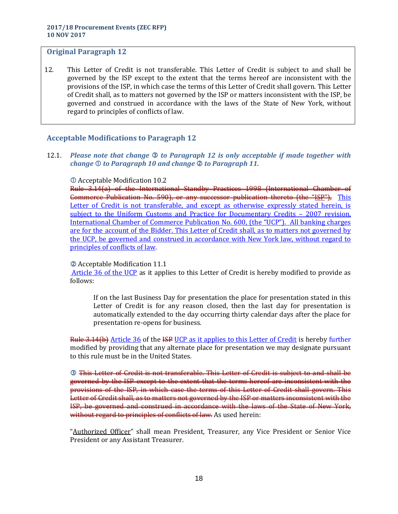12. This Letter of Credit is not transferable. This Letter of Credit is subject to and shall be governed by the ISP except to the extent that the terms hereof are inconsistent with the provisions of the ISP, in which case the terms of this Letter of Credit shall govern. This Letter of Credit shall, as to matters not governed by the ISP or matters inconsistent with the ISP, be governed and construed in accordance with the laws of the State of New York, without regard to principles of conflicts of law.

# **Acceptable Modifications to Paragraph 12**

12.1. *Please note that change* **©** to Paragraph 12 is only acceptable if made together with *change*  $\mathbb O$  *to Paragraph 10 and change*  $\mathbb Q$  *to Paragraph 11.* 

#### Acceptable Modification 10.2

Rule 3.14(a) of the International Standby Practices 1998 (International Chamber of Commerce Publication No. 590), or any successor publication thereto (the "ISP"), This Letter of Credit is not transferable, and except as otherwise expressly stated herein, is subject to the Uniform Customs and Practice for Documentary Credits – 2007 revision, International Chamber of Commerce Publication No. 600, (the "UCP"). All banking charges are for the account of the Bidder. This Letter of Credit shall, as to matters not governed by the UCP, be governed and construed in accordance with New York law, without regard to principles of conflicts of law.

#### Acceptable Modification 11.1

Article 36 of the UCP as it applies to this Letter of Credit is hereby modified to provide as follows:

If on the last Business Day for presentation the place for presentation stated in this Letter of Credit is for any reason closed, then the last day for presentation is automatically extended to the day occurring thirty calendar days after the place for presentation re-opens for business.

Rule 3.14(b) Article 36 of the ISP UCP as it applies to this Letter of Credit is hereby further modified by providing that any alternate place for presentation we may designate pursuant to this rule must be in the United States.

 This Letter of Credit is not transferable. This Letter of Credit is subject to and shall be governed by the ISP except to the extent that the terms hereof are inconsistent with the provisions of the ISP, in which case the terms of this Letter of Credit shall govern. This Letter of Credit shall, as to matters not governed by the ISP or matters inconsistent with the ISP, be governed and construed in accordance with the laws of the State of New York, without regard to principles of conflicts of law. As used herein:

"Authorized Officer" shall mean President, Treasurer, any Vice President or Senior Vice President or any Assistant Treasurer.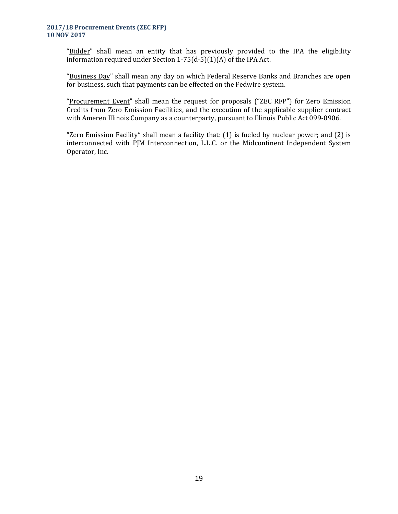#### **2017/18 Procurement Events (ZEC RFP) 10 NOV 2017**

"Bidder" shall mean an entity that has previously provided to the IPA the eligibility information required under Section 1-75(d-5)(1)(A) of the IPA Act.

"Business Day" shall mean any day on which Federal Reserve Banks and Branches are open for business, such that payments can be effected on the Fedwire system.

"Procurement Event" shall mean the request for proposals ("ZEC RFP") for Zero Emission Credits from Zero Emission Facilities, and the execution of the applicable supplier contract with Ameren Illinois Company as a counterparty, pursuant to Illinois Public Act 099-0906.

"Zero Emission Facility" shall mean a facility that: (1) is fueled by nuclear power; and (2) is interconnected with PJM Interconnection, L.L.C. or the Midcontinent Independent System Operator, Inc.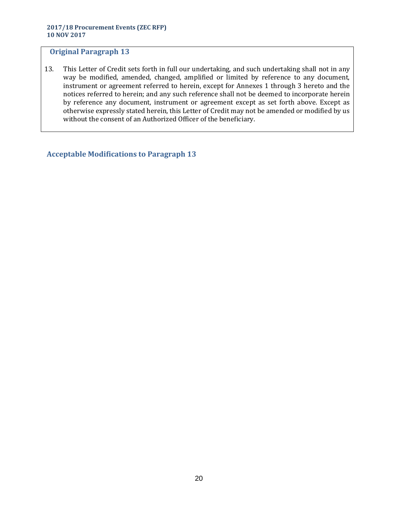13. This Letter of Credit sets forth in full our undertaking, and such undertaking shall not in any way be modified, amended, changed, amplified or limited by reference to any document, instrument or agreement referred to herein, except for Annexes 1 through 3 hereto and the notices referred to herein; and any such reference shall not be deemed to incorporate herein by reference any document, instrument or agreement except as set forth above. Except as otherwise expressly stated herein, this Letter of Credit may not be amended or modified by us without the consent of an Authorized Officer of the beneficiary.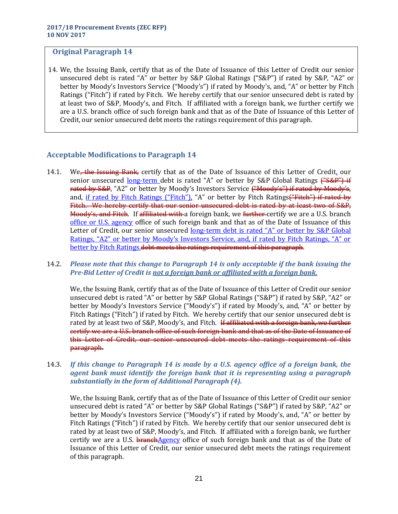14. We, the Issuing Bank, certify that as of the Date of Issuance of this Letter of Credit our senior unsecured debt is rated "A" or better by S&P Global Ratings ("S&P") if rated by S&P, "A2" or better by Moody's Investors Service ("Moody's") if rated by Moody's, and, "A" or better by Fitch Ratings ("Fitch") if rated by Fitch. We hereby certify that our senior unsecured debt is rated by at least two of S&P, Moody's, and Fitch. If affiliated with a foreign bank, we further certify we are a U.S. branch office of such foreign bank and that as of the Date of Issuance of this Letter of Credit, our senior unsecured debt meets the ratings requirement of this paragraph.

# **Acceptable Modifications to Paragraph 14**

14.1. We<del>, the Issuing Bank,</del> certify that as of the Date of Issuance of this Letter of Credit, our senior unsecured long-term debt is rated "A" or better by S&P Global Ratings ("S&P") if rated by S&P, "A2" or better by Moody's Investors Service ("Moody's") if rated by Moody's, and, if rated by Fitch Ratings ("Fitch"), "A" or better by Fitch Ratings<del>("Fitch") if rated by</del> Fitch. We hereby certify that our senior unsecured debt is rated by at least two of S&P, Moody's, and Fitch. If affiliated with a foreign bank, we further-certify we are a U.S. branch office or U.S. agency office of such foreign bank and that as of the Date of Issuance of this Letter of Credit, our senior unsecured long-term debt is rated "A" or better by S&P Global Ratings, "A2" or better by Moody's Investors Service, and, if rated by Fitch Ratings, "A" or better by Fitch Ratings. debt meets the ratings requirement of this paragraph.

### 14.2. *Please note that this change to Paragraph 14 is only acceptable if the bank issuing the Pre-Bid Letter of Credit is not a foreign bank or affiliated with a foreign bank.*

We, the Issuing Bank, certify that as of the Date of Issuance of this Letter of Credit our senior unsecured debt is rated "A" or better by S&P Global Ratings ("S&P") if rated by S&P, "A2" or better by Moody's Investors Service ("Moody's") if rated by Moody's, and, "A" or better by Fitch Ratings ("Fitch") if rated by Fitch. We hereby certify that our senior unsecured debt is rated by at least two of S&P, Moody's, and Fitch. If affiliated with a foreign bank, we further certify we are a U.S. branch office of such foreign bank and that as of the Date of Issuance of this Letter of Credit, our senior unsecured debt meets the ratings requirement of this paragraph.

#### 14.3. *If this change to Paragraph 14 is made by a U.S. agency office of a foreign bank, the agent bank must identify the foreign bank that it is representing using a paragraph substantially in the form of Additional Paragraph (4).*

We, the Issuing Bank, certify that as of the Date of Issuance of this Letter of Credit our senior unsecured debt is rated "A" or better by S&P Global Ratings ("S&P") if rated by S&P, "A2" or better by Moody's Investors Service ("Moody's") if rated by Moody's, and, "A" or better by Fitch Ratings ("Fitch") if rated by Fitch. We hereby certify that our senior unsecured debt is rated by at least two of S&P, Moody's, and Fitch. If affiliated with a foreign bank, we further certify we are a U.S. branchAgency office of such foreign bank and that as of the Date of Issuance of this Letter of Credit, our senior unsecured debt meets the ratings requirement of this paragraph.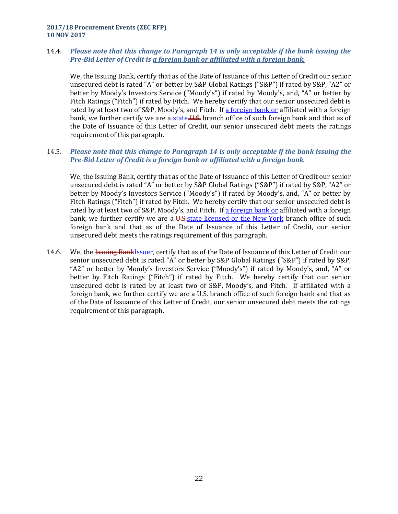**2017/18 Procurement Events (ZEC RFP) 10 NOV 2017**

### 14.4. *Please note that this change to Paragraph 14 is only acceptable if the bank issuing the Pre-Bid Letter of Credit is a foreign bank or affiliated with a foreign bank.*

We, the Issuing Bank, certify that as of the Date of Issuance of this Letter of Credit our senior unsecured debt is rated "A" or better by S&P Global Ratings ("S&P") if rated by S&P, "A2" or better by Moody's Investors Service ("Moody's") if rated by Moody's, and, "A" or better by Fitch Ratings ("Fitch") if rated by Fitch. We hereby certify that our senior unsecured debt is rated by at least two of S&P, Moody's, and Fitch. If a foreign bank or affiliated with a foreign bank, we further certify we are a state U.S. branch office of such foreign bank and that as of the Date of Issuance of this Letter of Credit, our senior unsecured debt meets the ratings requirement of this paragraph.

### 14.5. *Please note that this change to Paragraph 14 is only acceptable if the bank issuing the Pre-Bid Letter of Credit is a foreign bank or affiliated with a foreign bank.*

We, the Issuing Bank, certify that as of the Date of Issuance of this Letter of Credit our senior unsecured debt is rated "A" or better by S&P Global Ratings ("S&P") if rated by S&P, "A2" or better by Moody's Investors Service ("Moody's") if rated by Moody's, and, "A" or better by Fitch Ratings ("Fitch") if rated by Fitch. We hereby certify that our senior unsecured debt is rated by at least two of S&P, Moody's, and Fitch. If a foreign bank or affiliated with a foreign bank, we further certify we are a U.S. state licensed or the New York branch office of such foreign bank and that as of the Date of Issuance of this Letter of Credit, our senior unsecured debt meets the ratings requirement of this paragraph.

14.6. We, the <del>Issuing Bank</del>Issuer, certify that as of the Date of Issuance of this Letter of Credit our senior unsecured debt is rated "A" or better by S&P Global Ratings ("S&P") if rated by S&P, "A2" or better by Moody's Investors Service ("Moody's") if rated by Moody's, and, "A" or better by Fitch Ratings ("Fitch") if rated by Fitch. We hereby certify that our senior unsecured debt is rated by at least two of S&P, Moody's, and Fitch. If affiliated with a foreign bank, we further certify we are a U.S. branch office of such foreign bank and that as of the Date of Issuance of this Letter of Credit, our senior unsecured debt meets the ratings requirement of this paragraph.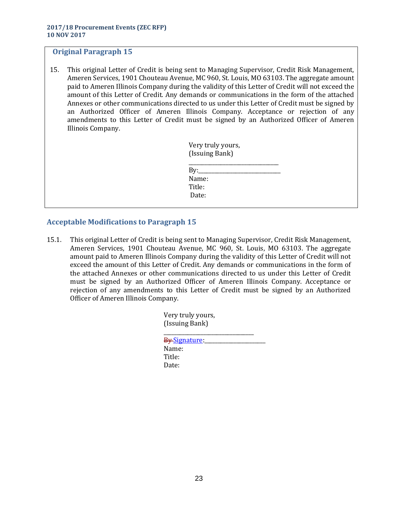15. This original Letter of Credit is being sent to Managing Supervisor, Credit Risk Management, Ameren Services, 1901 Chouteau Avenue, MC 960, St. Louis, MO 63103. The aggregate amount paid to Ameren Illinois Company during the validity of this Letter of Credit will not exceed the amount of this Letter of Credit. Any demands or communications in the form of the attached Annexes or other communications directed to us under this Letter of Credit must be signed by an Authorized Officer of Ameren Illinois Company. Acceptance or rejection of any amendments to this Letter of Credit must be signed by an Authorized Officer of Ameren Illinois Company.

| Very truly yours, |  |
|-------------------|--|
| (Issuing Bank)    |  |
|                   |  |

| By:    |  |  |
|--------|--|--|
| Name:  |  |  |
| Title: |  |  |
| Date:  |  |  |

# **Acceptable Modifications to Paragraph 15**

15.1. This original Letter of Credit is being sent to Managing Supervisor, Credit Risk Management, Ameren Services, 1901 Chouteau Avenue, MC 960, St. Louis, MO 63103. The aggregate amount paid to Ameren Illinois Company during the validity of this Letter of Credit will not exceed the amount of this Letter of Credit. Any demands or communications in the form of the attached Annexes or other communications directed to us under this Letter of Credit must be signed by an Authorized Officer of Ameren Illinois Company. Acceptance or rejection of any amendments to this Letter of Credit must be signed by an Authorized Officer of Ameren Illinois Company.

| Very truly yours,<br>(Issuing Bank) |  |
|-------------------------------------|--|
| By Signature                        |  |
| Name:                               |  |
| Title:                              |  |
| Date:                               |  |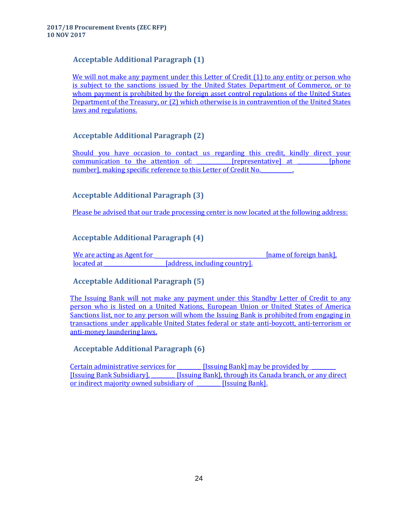# **Acceptable Additional Paragraph (1)**

We will not make any payment under this Letter of Credit (1) to any entity or person who is subject to the sanctions issued by the United States Department of Commerce, or to whom payment is prohibited by the foreign asset control regulations of the United States Department of the Treasury, or (2) which otherwise is in contravention of the United States laws and regulations.

# **Acceptable Additional Paragraph (2)**

Should you have occasion to contact us regarding this credit, kindly direct your communication to the attention of: Trepresentativel at [phone] number], making specific reference to this Letter of Credit No.

# **Acceptable Additional Paragraph (3)**

Please be advised that our trade processing center is now located at the following address:

# **Acceptable Additional Paragraph (4)**

We are acting as Agent for the same of foreign bank], located at \_\_\_\_\_\_\_\_\_\_\_\_\_\_\_\_\_\_\_\_\_\_\_[address, including country].

# **Acceptable Additional Paragraph (5)**

The Issuing Bank will not make any payment under this Standby Letter of Credit to any person who is listed on a United Nations, European Union or United States of America Sanctions list, nor to any person will whom the Issuing Bank is prohibited from engaging in transactions under applicable United States federal or state anti-boycott, anti-terrorism or anti-money laundering laws.

# **Acceptable Additional Paragraph (6)**

Certain administrative services for **ISSUING** Bank] may be provided by [Issuing Bank Subsidiary], \_\_\_\_\_\_\_\_\_ [Issuing Bank], through its Canada branch, or any direct or indirect majority owned subsidiary of **Film** Issuing Bank].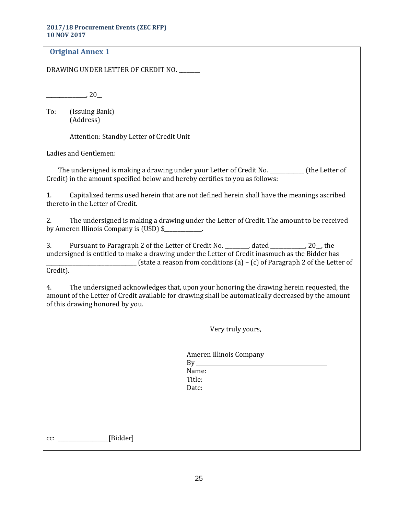#### **2017/18 Procurement Events (ZEC RFP) 10 NOV 2017**

| <b>Original Annex 1</b>                                                                                                                                                                                                                                                          |
|----------------------------------------------------------------------------------------------------------------------------------------------------------------------------------------------------------------------------------------------------------------------------------|
| DRAWING UNDER LETTER OF CREDIT NO. _____                                                                                                                                                                                                                                         |
| $\sim$ 20                                                                                                                                                                                                                                                                        |
| To:<br>(Issuing Bank)<br>(Address)                                                                                                                                                                                                                                               |
| Attention: Standby Letter of Credit Unit                                                                                                                                                                                                                                         |
| Ladies and Gentlemen:                                                                                                                                                                                                                                                            |
| The undersigned is making a drawing under your Letter of Credit No. __________ (the Letter of<br>Credit) in the amount specified below and hereby certifies to you as follows:                                                                                                   |
| Capitalized terms used herein that are not defined herein shall have the meanings ascribed<br>1.<br>thereto in the Letter of Credit.                                                                                                                                             |
| The undersigned is making a drawing under the Letter of Credit. The amount to be received<br>2.<br>by Ameren Illinois Company is (USD) \$                                                                                                                                        |
| Pursuant to Paragraph 2 of the Letter of Credit No. ________, dated __________, 20_, the<br>3.<br>undersigned is entitled to make a drawing under the Letter of Credit inasmuch as the Bidder has<br>(state a reason from conditions (a) $-$ (c) of Paragraph 2 of the Letter of |
| Credit).                                                                                                                                                                                                                                                                         |
| The undersigned acknowledges that, upon your honoring the drawing herein requested, the<br>4.<br>amount of the Letter of Credit available for drawing shall be automatically decreased by the amount<br>of this drawing honored by you.                                          |
| Very truly yours,                                                                                                                                                                                                                                                                |
| Ameren Illinois Company<br>By                                                                                                                                                                                                                                                    |
| Name:<br>Title:<br>Date:                                                                                                                                                                                                                                                         |
|                                                                                                                                                                                                                                                                                  |
| [Bidder]<br>CC:                                                                                                                                                                                                                                                                  |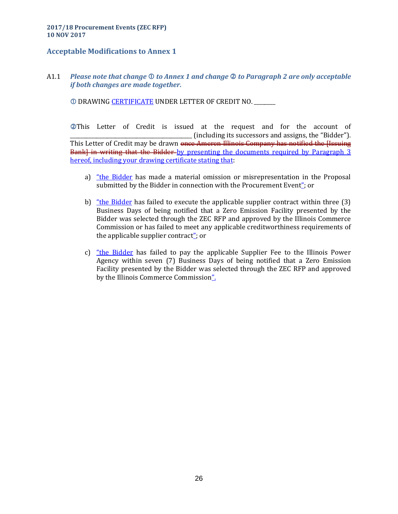# **Acceptable Modifications to Annex 1**

A1.1 *Please note that change to Annex 1 and change to Paragraph 2 are only acceptable if both changes are made together.*

DRAWING CERTIFICATE UNDER LETTER OF CREDIT NO. \_\_\_\_\_\_\_\_

This Letter of Credit is issued at the request and for the account of \_\_\_\_\_\_\_\_\_\_\_\_\_\_\_\_\_\_\_\_\_\_\_\_\_\_\_\_\_\_\_\_\_\_\_\_\_\_\_\_\_\_\_\_\_\_ (including its successors and assigns, the "Bidder"). This Letter of Credit may be drawn <del>once Ameren Illinois Company has notified the Hssuing</del> Bank] in writing that the Bidder-by presenting the documents required by Paragraph 3 hereof, including your drawing certificate stating that:

- a) "the Bidder has made a material omission or misrepresentation in the Proposal submitted by the Bidder in connection with the Procurement Event"; or
- b) "the Bidder has failed to execute the applicable supplier contract within three (3) Business Days of being notified that a Zero Emission Facility presented by the Bidder was selected through the ZEC RFP and approved by the Illinois Commerce Commission or has failed to meet any applicable creditworthiness requirements of the applicable supplier contract"; or
- c) "the Bidder has failed to pay the applicable Supplier Fee to the Illinois Power Agency within seven (7) Business Days of being notified that a Zero Emission Facility presented by the Bidder was selected through the ZEC RFP and approved by the Illinois Commerce Commission".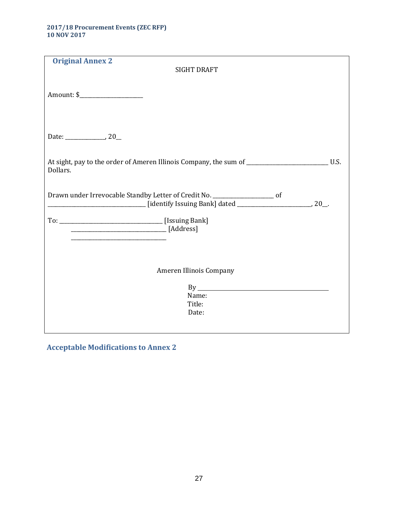| <b>Original Annex 2</b>                                                                                                       |  |
|-------------------------------------------------------------------------------------------------------------------------------|--|
| <b>SIGHT DRAFT</b>                                                                                                            |  |
|                                                                                                                               |  |
| Date: $\_\_\_\_\_$ , 20                                                                                                       |  |
| At sight, pay to the order of Ameren Illinois Company, the sum of _________________________________U.S.<br>Dollars.           |  |
| Drawn under Irrevocable Standby Letter of Credit No. ___________________ of                                                   |  |
| <u> 1989 - Johann John Stone, mars et al. 1989 - John Stone, mars et al. 1989 - John Stone, mars et al. 1989 - John Stone</u> |  |
|                                                                                                                               |  |
| Ameren Illinois Company                                                                                                       |  |
| By<br>Name:                                                                                                                   |  |
| Title:<br>Date:                                                                                                               |  |
|                                                                                                                               |  |

**Acceptable Modifications to Annex 2**